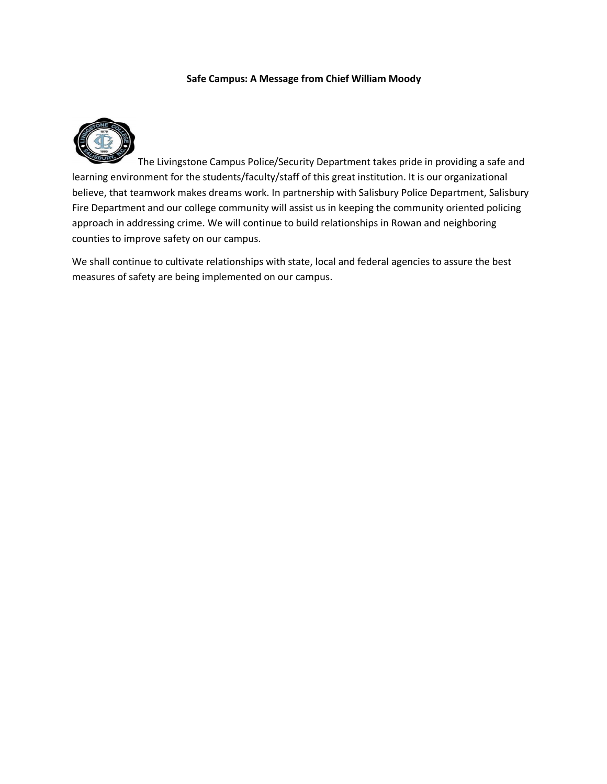#### **Safe Campus: A Message from Chief William Moody**



The Livingstone Campus Police/Security Department takes pride in providing a safe and learning environment for the students/faculty/staff of this great institution. It is our organizational believe, that teamwork makes dreams work. In partnership with Salisbury Police Department, Salisbury Fire Department and our college community will assist us in keeping the community oriented policing approach in addressing crime. We will continue to build relationships in Rowan and neighboring counties to improve safety on our campus.

We shall continue to cultivate relationships with state, local and federal agencies to assure the best measures of safety are being implemented on our campus.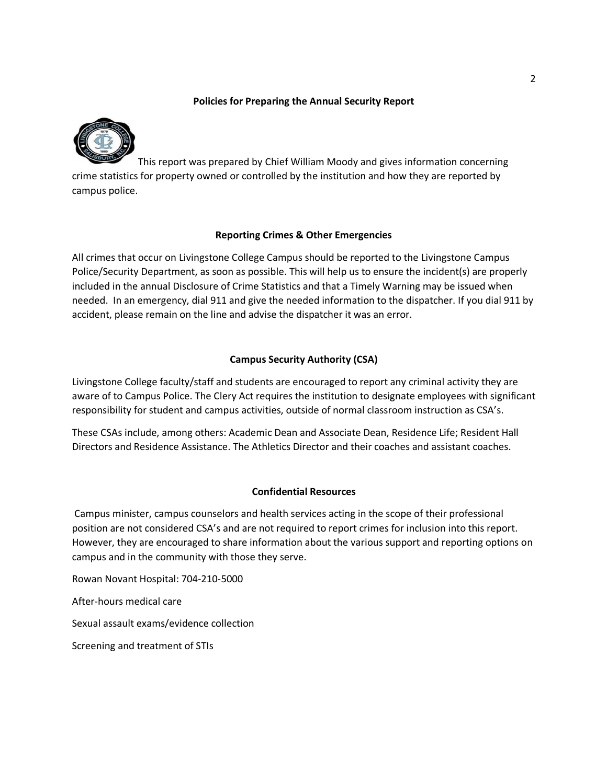### **Policies for Preparing the Annual Security Report**



This report was prepared by Chief William Moody and gives information concerning crime statistics for property owned or controlled by the institution and how they are reported by campus police.

### **Reporting Crimes & Other Emergencies**

All crimes that occur on Livingstone College Campus should be reported to the Livingstone Campus Police/Security Department, as soon as possible. This will help us to ensure the incident(s) are properly included in the annual Disclosure of Crime Statistics and that a Timely Warning may be issued when needed. In an emergency, dial 911 and give the needed information to the dispatcher. If you dial 911 by accident, please remain on the line and advise the dispatcher it was an error.

# **Campus Security Authority (CSA)**

Livingstone College faculty/staff and students are encouraged to report any criminal activity they are aware of to Campus Police. The Clery Act requires the institution to designate employees with significant responsibility for student and campus activities, outside of normal classroom instruction as CSA's.

These CSAs include, among others: Academic Dean and Associate Dean, Residence Life; Resident Hall Directors and Residence Assistance. The Athletics Director and their coaches and assistant coaches.

# **Confidential Resources**

Campus minister, campus counselors and health services acting in the scope of their professional position are not considered CSA's and are not required to report crimes for inclusion into this report. However, they are encouraged to share information about the various support and reporting options on campus and in the community with those they serve.

Rowan Novant Hospital: 704-210-5000

After-hours medical care

Sexual assault exams/evidence collection

Screening and treatment of STIs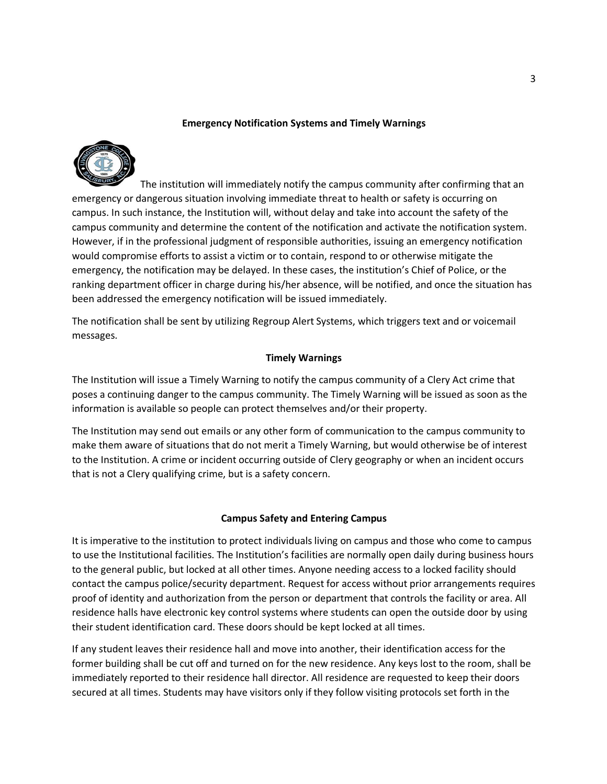### **Emergency Notification Systems and Timely Warnings**



 The institution will immediately notify the campus community after confirming that an emergency or dangerous situation involving immediate threat to health or safety is occurring on campus. In such instance, the Institution will, without delay and take into account the safety of the campus community and determine the content of the notification and activate the notification system. However, if in the professional judgment of responsible authorities, issuing an emergency notification would compromise efforts to assist a victim or to contain, respond to or otherwise mitigate the emergency, the notification may be delayed. In these cases, the institution's Chief of Police, or the ranking department officer in charge during his/her absence, will be notified, and once the situation has been addressed the emergency notification will be issued immediately.

The notification shall be sent by utilizing Regroup Alert Systems, which triggers text and or voicemail messages.

### **Timely Warnings**

The Institution will issue a Timely Warning to notify the campus community of a Clery Act crime that poses a continuing danger to the campus community. The Timely Warning will be issued as soon as the information is available so people can protect themselves and/or their property.

The Institution may send out emails or any other form of communication to the campus community to make them aware of situations that do not merit a Timely Warning, but would otherwise be of interest to the Institution. A crime or incident occurring outside of Clery geography or when an incident occurs that is not a Clery qualifying crime, but is a safety concern.

#### **Campus Safety and Entering Campus**

It is imperative to the institution to protect individuals living on campus and those who come to campus to use the Institutional facilities. The Institution's facilities are normally open daily during business hours to the general public, but locked at all other times. Anyone needing access to a locked facility should contact the campus police/security department. Request for access without prior arrangements requires proof of identity and authorization from the person or department that controls the facility or area. All residence halls have electronic key control systems where students can open the outside door by using their student identification card. These doors should be kept locked at all times.

If any student leaves their residence hall and move into another, their identification access for the former building shall be cut off and turned on for the new residence. Any keys lost to the room, shall be immediately reported to their residence hall director. All residence are requested to keep their doors secured at all times. Students may have visitors only if they follow visiting protocols set forth in the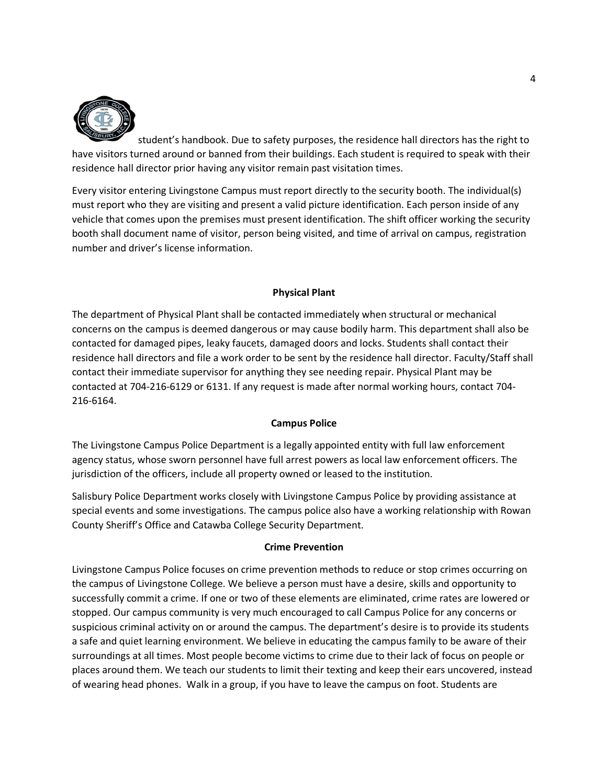

student's handbook. Due to safety purposes, the residence hall directors has the right to have visitors turned around or banned from their buildings. Each student is required to speak with their residence hall director prior having any visitor remain past visitation times.

Every visitor entering Livingstone Campus must report directly to the security booth. The individual(s) must report who they are visiting and present a valid picture identification. Each person inside of any vehicle that comes upon the premises must present identification. The shift officer working the security booth shall document name of visitor, person being visited, and time of arrival on campus, registration number and driver's license information.

#### **Physical Plant**

The department of Physical Plant shall be contacted immediately when structural or mechanical concerns on the campus is deemed dangerous or may cause bodily harm. This department shall also be contacted for damaged pipes, leaky faucets, damaged doors and locks. Students shall contact their residence hall directors and file a work order to be sent by the residence hall director. Faculty/Staff shall contact their immediate supervisor for anything they see needing repair. Physical Plant may be contacted at 704-216-6129 or 6131. If any request is made after normal working hours, contact 704- 216-6164.

#### **Campus Police**

The Livingstone Campus Police Department is a legally appointed entity with full law enforcement agency status, whose sworn personnel have full arrest powers as local law enforcement officers. The jurisdiction of the officers, include all property owned or leased to the institution.

Salisbury Police Department works closely with Livingstone Campus Police by providing assistance at special events and some investigations. The campus police also have a working relationship with Rowan County Sheriff's Office and Catawba College Security Department.

#### **Crime Prevention**

Livingstone Campus Police focuses on crime prevention methods to reduce or stop crimes occurring on the campus of Livingstone College. We believe a person must have a desire, skills and opportunity to successfully commit a crime. If one or two of these elements are eliminated, crime rates are lowered or stopped. Our campus community is very much encouraged to call Campus Police for any concerns or suspicious criminal activity on or around the campus. The department's desire is to provide its students a safe and quiet learning environment. We believe in educating the campus family to be aware of their surroundings at all times. Most people become victimsto crime due to their lack of focus on people or places around them. We teach our students to limit their texting and keep their ears uncovered, instead of wearing head phones. Walk in a group, if you have to leave the campus on foot. Students are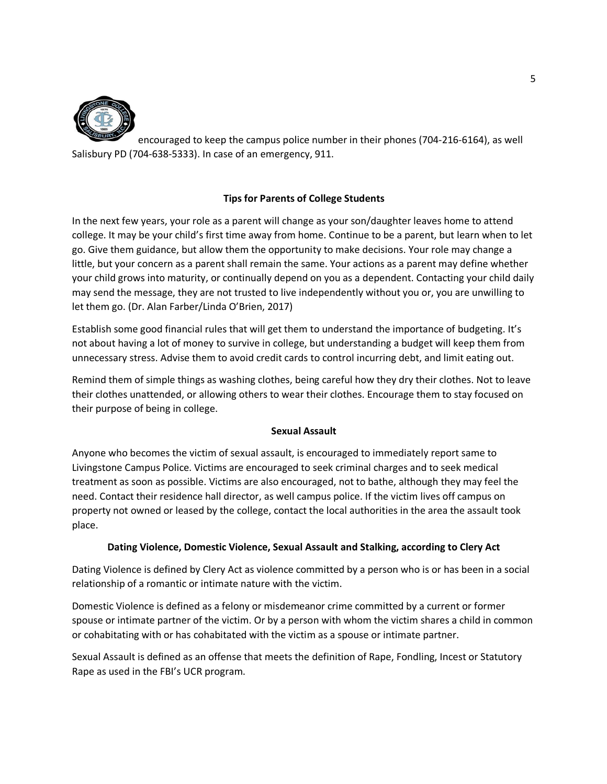

encouraged to keep the campus police number in their phones (704-216-6164), as well Salisbury PD (704-638-5333). In case of an emergency, 911.

# **Tips for Parents of College Students**

In the next few years, your role as a parent will change as your son/daughter leaves home to attend college. It may be your child's first time away from home. Continue to be a parent, but learn when to let go. Give them guidance, but allow them the opportunity to make decisions. Your role may change a little, but your concern as a parent shall remain the same. Your actions as a parent may define whether your child grows into maturity, or continually depend on you as a dependent. Contacting your child daily may send the message, they are not trusted to live independently without you or, you are unwilling to let them go. (Dr. Alan Farber/Linda O'Brien, 2017)

Establish some good financial rules that will get them to understand the importance of budgeting. It's not about having a lot of money to survive in college, but understanding a budget will keep them from unnecessary stress. Advise them to avoid credit cards to control incurring debt, and limit eating out.

Remind them of simple things as washing clothes, being careful how they dry their clothes. Not to leave their clothes unattended, or allowing others to wear their clothes. Encourage them to stay focused on their purpose of being in college.

# **Sexual Assault**

Anyone who becomes the victim of sexual assault, is encouraged to immediately report same to Livingstone Campus Police. Victims are encouraged to seek criminal charges and to seek medical treatment as soon as possible. Victims are also encouraged, not to bathe, although they may feel the need. Contact their residence hall director, as well campus police. If the victim lives off campus on property not owned or leased by the college, contact the local authorities in the area the assault took place.

# **Dating Violence, Domestic Violence, Sexual Assault and Stalking, according to Clery Act**

Dating Violence is defined by Clery Act as violence committed by a person who is or has been in a social relationship of a romantic or intimate nature with the victim.

Domestic Violence is defined as a felony or misdemeanor crime committed by a current or former spouse or intimate partner of the victim. Or by a person with whom the victim shares a child in common or cohabitating with or has cohabitated with the victim as a spouse or intimate partner.

Sexual Assault is defined as an offense that meets the definition of Rape, Fondling, Incest or Statutory Rape as used in the FBI's UCR program.